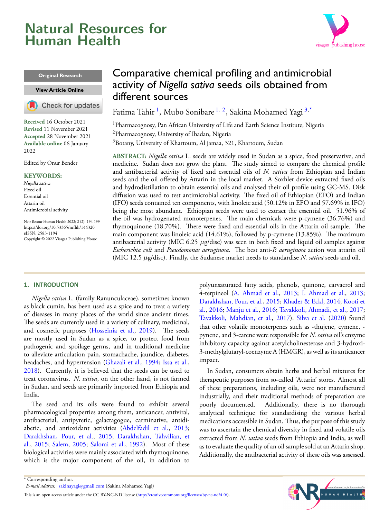# <span id="page-0-3"></span>**Natural Resources for Human Health**



#### **Original Research**

#### **[View Article](https://doi.org/10.53365/nrfhh/144320) Online**



**Received** 16 October 2021 **Revised** 11 November 2021 **Accepted** 28 November 2021 **Available online** 06 January 2022

Edited by Onur Bender

#### **KEYWORDS:**

Nigella sativa Fixed oil Essential oil Attarin oil Antimicrobial activity

Natr Resour Human Health 2022; 2 (2): 194-199 <https://doi.org/10.53365/nrfhh/144320> eISSN: 2583-1194 Copyright © 2022 Visagaa Publishing House

# Comparative chemical profiling and antimicrobial activity of *Nigella sativa* seeds oils obtained from different sources

Fatima Tahir <sup>[1](#page-0-0)</sup>, Mubo Sonibare <sup>1, [2](#page-0-1)</sup>, Sakina Mohamed Yagi <sup>[3](#page-0-2),\*</sup>

<span id="page-0-1"></span><span id="page-0-0"></span><sup>1</sup>Pharmacognosy, Pan African University of Life and Earth Science Institute, Nigeria <sup>2</sup>Pharmacognosy, University of Ibadan, Nigeria <sup>3</sup>Botany, University of Khartoum, Al jamaa, 321, Khartoum, Sudan

<span id="page-0-2"></span>**ABSTRACT:** *Nigella sativa* L. seeds are widely used in Sudan as a spice, food preservative, and medicine. Sudan does not grow the plant. The study aimed to compare the chemical profile and antibacterial activity of fixed and essential oils of *N. sativa* from Ethiopian and Indian seeds and the oil offered by Attarin in the local market. A Soxhlet device extracted fixed oils and hydrodistillation to obtain essential oils and analysed their oil profile using GC-MS. Disk diffusion was used to test antimicrobial activity. The fixed oil of Ethiopian (EFO) and Indian (IFO) seeds contained ten components, with linoleic acid (50.12% in EFO and 57.69% in IFO) being the most abundant. Ethiopian seeds were used to extract the essential oil. 51.96% of the oil was hydrogenated monoterpenes. The main chemicals were p-cymene (36.76%) and thymoquinone (18.70%). There were fixed and essential oils in the Attarin oil sample. The main component was linoleic acid (14.61%), followed by p-cymene (13.85%). The maximum antibacterial activity (MIC 6.25 *µ*g/disc) was seen in both fixed and liquid oil samples against *Escherichia coli* and *Pseudomonas aeruginosa*. The best anti-*P. aeruginosa* action was attarin oil (MIC 12.5 *µ*g/disc). Finally, the Sudanese market needs to standardise *N. sativa* seeds and oil.

#### **1. INTRODUCTION**

*Nigella sativa* L. (family Ranunculaceae), sometimes known as black cumin, has been used as a spice and to treat a variety of diseases in many places of the world since ancient times. The seeds are currently used in a variety of culinary, medicinal, and cosmetic purposes([Hosseinia et al.,](#page-4-0) [2019\)](#page-4-0). The seeds are mostly used in Sudan as a spice, to protect food from pathogenic and spoilage germs, and in traditional medicine to alleviate articulation pain, stomachache, jaundice, diabetes, headaches, and hypertension [\(Ghazali et al.](#page-4-1), [1994](#page-4-1); [Issa et al.,](#page-4-2) [2018](#page-4-2)). Currently, it is believed that the seeds can be used to treat coronavirus. *N. sativa*, on the other hand, is not farmed in Sudan, and seeds are primarily imported from Ethiopia and India.

The seed and its oils were found to exhibit several pharmacological properties among them, anticancer, antiviral, antibacterial, antipyretic, galactagogue, carminative, antidiabetic, and antioxidant activities([Abdelfadil et al.](#page-4-3), [2013;](#page-4-3) [Darakhshan, Pour, et al.,](#page-4-4) [2015;](#page-4-4) [Darakhshan, Tahvilian, et](#page-4-5) [al.,](#page-4-5) [2015;](#page-4-5) [Salem](#page-4-6), [2005](#page-4-6); [Salomi et al.](#page-4-7), [1992](#page-4-7)). Most of these biological activities were mainly associated with thymoquinone, which is the major component of the oil, in addition to polyunsaturated fatty acids, phenols, quinone, carvacrol and 4-terpineol([A. Ahmad et al.,](#page-4-8) [2013;](#page-4-8) [I. Ahmad et al.](#page-4-9), [2013](#page-4-9); [Darakhshan, Pour, et al.](#page-4-4), [2015](#page-4-4); [Khader & Eckl,](#page-4-10) [2014;](#page-4-10) [Kooti et](#page-4-11) [al.,](#page-4-11) [2016;](#page-4-11) [Manju et al.](#page-4-12), [2016](#page-4-12); [Tavakkoli, Ahmadi, et al.,](#page-4-13) [2017](#page-4-13); [Tavakkoli, Mahdian, et al.](#page-4-14), [2017](#page-4-14)). [Silva et al.](#page-4-15) [\(2020\)](#page-4-15) found that other volatile monoterpenes such as -thujene, cymene, pynene, and 3-carene were responsible for *N. sativa* oil's enzyme inhibitory capacity against acetylcholinesterase and 3-hydroxi-3-methylglutaryl-coenzyme A (HMGR), as well as its anticancer impact.

In Sudan, consumers obtain herbs and herbal mixtures for therapeutic purposes from so-called 'Attarin' stores. Almost all of these preparations, including oils, were not manufactured industrially, and their traditional methods of preparation are poorly documented. Additionally, there is no thorough analytical technique for standardising the various herbal medications accessible in Sudan. Thus, the purpose of this study was to ascertain the chemical diversity in fixed and volatile oils extracted from *N. sativa* seeds from Ethiopia and India, as well as to evaluate the quality of an oil sample sold at an Attarin shop. Additionally, the antibacterial activity of these oils was assessed.



<sup>\*</sup> Corresponding author. *E-mail address:* [sakinayagi@gmail.com](mailto:{sakinayagi@gmail.com} ) (Sakina Mohamed Yagi)

This is an open access article under the CC BY-NC-ND license(<http://creativecommons.org/licenses/by-nc-nd/4.0/>).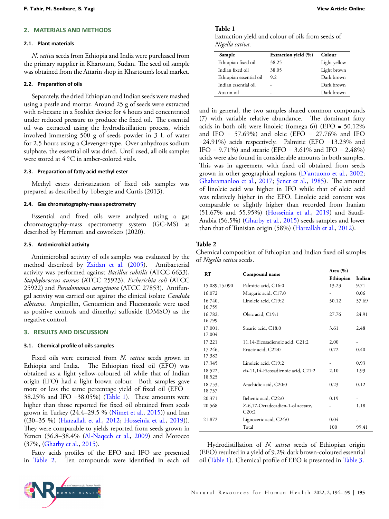### **2. MATERIALS AND METHODS**

#### **2.1. Plant materials**

*N. sativa* seeds from Ethiopia and India were purchased from the primary supplier in Khartoum, Sudan. The seed oil sample was obtained from the Attarin shop in Khartoum's local market.

# **2.2. PreparaƟon of oils**

Separately, the dried Ethiopian and Indian seeds were mashed using a pestle and mortar. Around 25 g of seeds were extracted with n-hexane in a Soxhlet device for 4 hours and concentrated under reduced pressure to produce the fixed oil. The essential oil was extracted using the hydrodistillation process, which involved immersing 500 g of seeds powder in 3 L of water for 2.5 hours using a Clevenger-type. Over anhydrous sodium sulphate, the essential oil was dried. Until used, all oils samples were stored at 4 *◦*C in amber-colored vials.

#### **2.3. PreparaƟon of faƩy acid methyl ester**

Methyl esters derivatization of fixed oils samples was prepared as described by Tobergte and Curtis (2013).

#### **2.4. Gas chromatography-mass spectrometry**

Essential and fixed oils were analyzed using a gas chromatography-mass spectrometry system (GC-MS) as described by Hemmati and coworkers (2020).

### **2.5. AnƟmicrobial acƟvity**

Antimicrobial activity of oils samples was evaluated by the method described by [Zaidan et al.](#page-4-16) ([2005\)](#page-4-16). Antibacterial activity was performed against *Bacillus subtilis* (ATCC 6633), *Staphylococcus aureus* (ATCC 25923), *Escherichia coli* (ATCC 25922) and *Pseudomonas aeruginosa* (ATCC 27853). Antifungal activity was carried out against the clinical isolate *Candida albicans*. Ampicillin, Gentamicin and Fluconazole were used as positive controls and dimethyl sulfoxide (DMSO) as the negative control.

#### **3. RESULTS AND DISCUSSION**

#### **3.1. Chemical profile of oils samples**

Fixed oils were extracted from *N. sativa* seeds grown in Ethiopia and India. The Ethiopian fixed oil (EFO) was obtained as a light yellow-coloured oil while that of Indian origin (IFO) had a light brown colour. Both samples gave more or less the same percentage yield of fixed oil (EFO =  $38.25\%$  and IFO =  $38.05\%$ ) (Table [1\)](#page-1-0). These amounts were higher than those reported for fixed oil obtained from seeds grown in Turkey (24.4–29.5 %([Nimet et al.](#page-4-17), [2015](#page-4-17))) and Iran ((30–35 %)([Harzallah et al.](#page-4-18), [2012](#page-4-18); [Hosseinia et al.,](#page-4-0) [2019\)](#page-4-0)). They were comparable to yields reported from seeds grown in Yemen(36.8-38.4% ([Al-Naqeeb et al.,](#page-4-19) [2009\)](#page-4-19) and Morocco (37%,([Gharby et al.](#page-4-20), [2015](#page-4-20)).

Fatty acids profiles of the EFO and IFO are presented in Table [2.](#page-1-1) Ten compounds were identified in each oil

# <span id="page-1-0"></span>**Table 1**

Extraction yield and colour of oils from seeds of *Nigella sativa*.

| Sample                  | Extraction yield (%) | Colour       |
|-------------------------|----------------------|--------------|
| Ethiopian fixed oil     | 38.25                | Light yellow |
| Indian fixed oil        | 38.05                | Light brown  |
| Ethiopian essential oil | 9.2                  | Dark brown   |
| Indian essential oil    |                      | Dark brown   |
| Attarin oil             | -                    | Dark brown   |

and in general, the two samples shared common compounds (7) with variable relative abundance. The dominant fatty acids in both oils were linoleic ((omega 6)) (EFO = 50.12% and IFO =  $57.69\%$ ) and oleic (EFO =  $27.76\%$  and IFO =24.91%) acids respectively. Palmitic (EFO =13.23% and IFO =  $9.71\%$ ) and stearic (EFO =  $3.61\%$  and IFO =  $2.48\%$ ) acids were also found in considerable amounts in both samples. This was in agreement with fixed oil obtained from seeds grown in other geographical regions([D'antuono et al.](#page-4-21), [2002](#page-4-21); [Ghahramanloo et al.](#page-4-22), [2017](#page-4-22); [Şener et al.](#page-4-23), [1985](#page-4-23)). The amount of linoleic acid was higher in IFO while that of oleic acid was relatively higher in the EFO. Linoleic acid content was comparable or slightly higher than recorded from Iranian (51.67% and 55.95%)([Hosseinia et al.](#page-4-0), [2019\)](#page-4-0) and Saudi-Arabia (56.5%)([Gharby et al.](#page-4-20), [2015\)](#page-4-20) seeds samples and lower than that of Tunisian origin (58%)([Harzallah et al.,](#page-4-18) [2012\)](#page-4-18).

# <span id="page-1-1"></span>**Table 2**

Chemical composition of Ethiopian and Indian fixed oil samples of *Nigella sativa* seeds.

| RT                |                                            | Area $(\% )$ |        |  |
|-------------------|--------------------------------------------|--------------|--------|--|
|                   | Compound name                              | Ethiopian    | Indian |  |
| 15.089,15.090     | Palmitic acid, C16:0                       | 13.23        | 9.71   |  |
| 16.072            | Margaric acid, C17:0                       | ۰            | 0.06   |  |
| 16.740,<br>16.759 | Linoleic acid, C19:2                       | 50.12        | 57.69  |  |
| 16.782,<br>16.799 | Oleic acid, C19:1                          | 27.76        | 24.91  |  |
| 17.001,<br>17.004 | Stearic acid, C18:0                        | 3.61         | 2.48   |  |
| 17.221            | 11,14-Eicosadienoic acid, C21:2            | 2.00         |        |  |
| 17.246,<br>17.382 | Erucic acid, C22:0                         | 0.72         | 0.40   |  |
| 17.345            | Linoleic acid, C19:2                       | ۰            | 0.93   |  |
| 18.522,<br>18.525 | cis-11,14-Eicosadienoic acid, C21:2        | 2.10         | 1.93   |  |
| 18.753,<br>18.757 | Arachidic acid, C20:0                      | 0.23         | 0.12   |  |
| 20.371            | Behenic acid, C22:0                        | 0.19         |        |  |
| 20.568            | Z-6,17-Octadecadien-1-ol acetate,<br>C20:2 |              | 1.18   |  |
| 21.872            | Lignoceric acid, C24:0                     | 0.04         |        |  |
|                   | Total                                      | 100          | 99.41  |  |

Hydrodistillation of *N. sativa* seeds of Ethiopian origin (EEO) resulted in a yield of 9.2% dark brown-coloured essential oil (Table [1](#page-1-0)). Chemical profile of EEO is presented in Table [3.](#page-2-0)

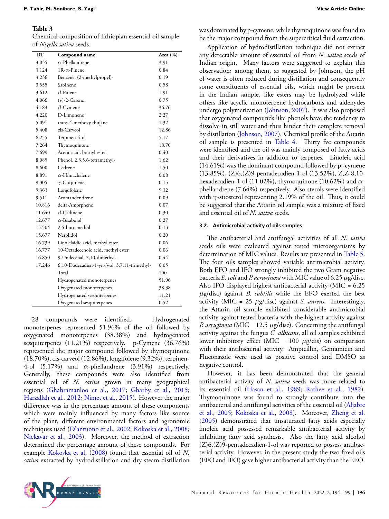# <span id="page-2-0"></span>**Table 3**

Chemical composition of Ethiopian essential oil sample of *Nigella sativa* seeds.

| RT     | Compound name                                | Area $(\% )$ |
|--------|----------------------------------------------|--------------|
| 3.035  | $\alpha$ -Phellandrene                       | 3.91         |
| 3.124  | 1R- $\alpha$ -Pinene                         | 0.84         |
| 3.236  | Benzene, (2-methylpropyl)-                   | 0.19         |
| 3.555  | Sabinene                                     | 0.58         |
| 3.612  | $\beta$ -Pinene                              | 1.91         |
| 4.066  | $(+)$ -2-Carene                              | 0.75         |
| 4.183  | $\beta$ -Cymene                              | 36.76        |
| 4.220  | D-Limonene                                   | 2.27         |
| 5.091  | trans-4-methoxy thujane                      | 1.32         |
| 5.408  | cis-Carveol                                  | 12.86        |
| 6.255  | Terpinen-4-ol                                | 5.17         |
| 7.264  | Thymoquinone                                 | 18.70        |
| 7.699  | Acetic acid, bornyl ester                    | 0.40         |
| 8.085  | Phenol, 2,3,5,6-tetramethyl-                 | 1.62         |
| 8.600  | Cedrene                                      | 1.50         |
| 8.891  | $\alpha$ -Himachalene                        | 0.08         |
| 9.305  | $\gamma$ -Gurjunene                          | 0.15         |
| 9.363  | Longifolene                                  | 9.32         |
| 9.511  | Aromandendrene                               | 0.09         |
| 10.816 | delta-Amorphene                              | 0.07         |
| 11.640 | $\beta$ -Cadinene                            | 0.30         |
| 12.677 | $\alpha$ -Bisabolol                          | 0.27         |
| 15.504 | 2,5-bornanediol                              | 0.13         |
| 15.677 | Nerolidol                                    | 0.20         |
| 16.739 | Linolelaidic acid, methyl ester              | 0.06         |
| 16.777 | 10-Octadecenoic acid, methyl ester           | 0.06         |
| 16.850 | 9-Undecenal, 2,10-dimethyl-                  | 0.44         |
| 17.246 | 6,10-Dodecadien-1-yn-3-ol, 3,7,11-trimethyl- | 0.05         |
|        | Total                                        | 100          |
|        | Hydrogenated monoterpenes                    | 51.96        |
|        | Oxygenated monoterpenes                      | 38.38        |
|        | Hydrogenated sesquiterpenes                  | 11.21        |
|        | Oxygenated sesquiterpenes                    | 0.52         |

28 compounds were identified. Hydrogenated monoterpenes represented 51.96% of the oil followed by oxygenated monoterpenes (38.38%) and hydrogenated sesquiterpenes (11.21%) respectively. p-Cymene (36.76%) represented the major compound followed by thymoquinone (18.70%), cis-carveol (12.86%), longifolene (9.32%), terpinen-4-ol (5.17%) and *α*-phellandrene (3.91%) respectively. Generally, these compounds were also identified from essential oil of *N. sativa* grown in many geographical regions [\(Ghahramanloo et al.](#page-4-22), [2017](#page-4-22); [Gharby et al.,](#page-4-20) [2015;](#page-4-20) [Harzallah et al.,](#page-4-18) [2012;](#page-4-18) [Nimet et al.,](#page-4-17) [2015](#page-4-17)). However the major difference was in the percentage amount of these components which were mainly influenced by many factors like source of the plant, different environmental factors and agronomic techniques used([D'antuono et al.](#page-4-21), [2002](#page-4-21); [Kokoska et al.](#page-4-24), [2008;](#page-4-24) [Nickavar et al.,](#page-4-25) [2003\)](#page-4-25). Moreover, the method of extraction determined the percentage amount of these compounds. For example [Kokoska et al.](#page-4-24) [\(2008](#page-4-24)) found that essential oil of *N. sativa* extracted by hydrodistillation and dry steam distillation was dominated by p-cymene, while thymoquinone was found to be the major compound from the supercritical fluid extraction.

Application of hydrodistillation technique did not extract any detectable amount of essential oil from *N. sativa* seeds of Indian origin. Many factors were suggested to explain this observation; among them, as suggested by Johnson, the pH of water is often reduced during distillation and consequently some constituents of essential oils, which might be present in the Indian sample, like esters may be hydrolyzed while others like acyclic monoterpene hydrocarbons and aldehydes undergo polymerization [\(Johnson](#page-4-26), [2007\)](#page-4-26). It was also proposed that oxygenated compounds like phenols have the tendency to dissolve in still water and thus hinder their complete removal by distillation [\(Johnson,](#page-4-26) [2007](#page-4-26)). Chemical profile of the Attarin oil sample is presented in Table [4](#page-3-0). Thirty fve compounds were identified and the oil was mainly composed of fatty acids and their derivatives in addition to terpenes. Linoleic acid (14.61%) was the dominant compound followed by p -cymene (13.85%), (Z)6,(Z)9-pentadecadien-1-ol (13.52%), Z,Z-8,10 hexadecadien-1-ol (11.02%), thymoquinone (10.62%) and *α*phellandrene (7.64%) respectively. Also sterols were identified with *γ*-sitosterol representing 2.19% of the oil. Thus, it could be suggested that the Attarin oil sample was a mixture of fixed and essential oil of *N. sativa* seeds.

#### **3.2. AnƟmicrobial acƟvity of oils samples**

The antibacterial and antifungal activities of all *N. sativa* seeds oils were evaluated against tested microorganisms by determination of MIC values. Results are presented in Table [5](#page-3-1). The four oils samples showed variable antimicrobial activity. Both EFO and IFO strongly inhibited the two Gram negative bacteria *E. coli* and *P. aeruginosa* with MIC value of 6.25 *µ*g/disc. Also IFO displayed highest antibacterial activity (MIC = 6.25 *µ*g/disc) against *B. subtilis* while the EFO exerted the best activity (MIC = 25 *µ*g/disc) against *S. aureus*. Interestingly, the Attarin oil sample exhibited considerable antimicrobial activity against tested bacteria with the highest activity against *P. aeruginosa* (MIC = 12.5 *µ*g/disc). Concerning the antifungal activity against the fungus *C. albicans*, all oil samples exhibited lower inhibitory effect (MIC = 100 *µ*g/dis) on comparison with their antibacterial activity. Ampicillin, Gentamicin and Fluconazole were used as positive control and DMSO as negative control.

However, it has been demonstrated that the general antibacterial activity of *N. sativa* seeds was more related to its essential oil([Hasan et al.](#page-4-27), [1989](#page-4-27); [Rathee et al.,](#page-4-28) [1982\)](#page-4-28). Thymoquinone was found to strongly contribute into the antibacterial and antifungal activities of the essential oil [\(Aljabre](#page-4-29) [et al.](#page-4-29), [2005;](#page-4-29) [Kokoska et al.](#page-4-24), [2008](#page-4-24)). Moreover, [Zheng et al.](#page-5-0) ([2005](#page-5-0)) demonstrated that unsaturated fatty acids especially linoleic acid possessed remarkable antibacterial activity by inhibiting fatty acid synthesis. Also the fatty acid alcohol  $(Z)$ 6, $(Z)$ 9-pentadecadien-1-ol was reported to possess antibacterial activity. However, in the present study the two fixed oils (EFO and IFO) gave higher antibacterial activity than the EEO.

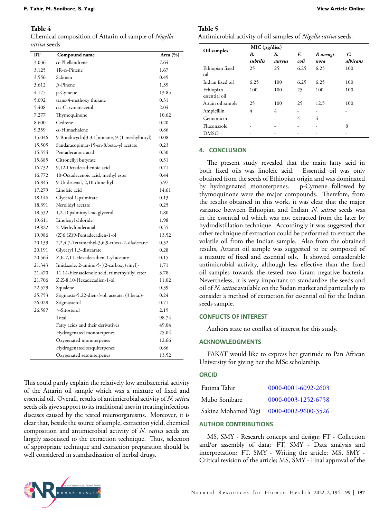# <span id="page-3-0"></span>**Table 4**

Chemical composition of Attarin oil sample of *Nigella sativa* seeds

| RT     | Compound name                                  | Area (%) |
|--------|------------------------------------------------|----------|
| 3.036  | $\alpha$ -Phellandrene                         | 7.64     |
| 3.125  | $1R-\alpha$ -Pinene                            | 1.67     |
| 3.556  | Sabinen                                        | 0.49     |
| 3.612  | $\beta$ -Pinene                                | 1.39     |
| 4.177  | p-Cymene                                       | 13.85    |
| 5.092  | trans-4-methoxy thujane                        | 0.31     |
| 5.408  | cis-Carvotanacetol                             | 2.04     |
| 7.277  | Thymoquinone                                   | 10.62    |
| 8.600  | Cedrene                                        | 0.20     |
| 9.359  | $\alpha$ -Himachalene                          | 0.86     |
| 15.046 | 9-Borabicyclo[3.3.1] nonane, 9-(1-methylbutyl) | 0.08     |
| 15.505 | Sandaracopimar-15-en-8.beta.-yl acetate        | 0.23     |
| 15.554 | Pentadecanoic acid                             | 0.30     |
| 15.685 | Citronellyl butyrate                           | 0.31     |
| 16.732 | 9.12-Octadecadienoic acid                      | 0.71     |
| 16.772 | 10-Octadecenoic acid, methyl ester             | 0.44     |
| 16.845 | 9-Undecenal, 2,10-dimethyl-                    | 3.97     |
| 17.279 | Linoleic acid                                  | 14.61    |
| 18.146 | Glycerol 1-palmitate                           | 0.13     |
| 18.391 | Nerolidyl acetate                              | 0.25     |
| 18.532 | 1,2-Dipalmitoyl-rac-glycerol                   | 1.80     |
| 19.611 | Linoleoyl chloride                             | 1.98     |
| 19.822 | 2-Methylundecanal                              | 0.55     |
| 19.986 | (Z)6,(Z)9-Pentadecadien-1-ol                   | 13.52    |
| 20.139 | 2,2,4,7-Tetramethyl-3,6,9-trioxa-2-siladecane  | 0.32     |
| 20.191 | Glyceryl 1,3-distearate                        | 0.28     |
| 20.564 | Z,E-7,11-Hexadecadien-1-yl acetate             | 0.15     |
| 21.343 | Imidazole, 2-amino-5-[(2-carboxy)vinyl]-       | 1.71     |
| 21.470 | 11,14-Eicosadienoic acid, trimethylsilyl ester | 3.78     |
| 21.706 | Z,Z-8,10-Hexadecadien-1-ol                     | 11.02    |
| 22.579 | Squalene                                       | 0.39     |
| 25.753 | Stigmasta-5,22-dien-3-ol, acetate, (3.beta.)-  | 0.24     |
| 26.028 | Stigmasterol                                   | 0.71     |
| 26.587 | $\gamma$ -Sitosterol                           | 2.19     |
|        | Total                                          | 98.74    |
|        | Fatty acids and their derivatives              | 49.04    |
|        | Hydrogenated monoterpenes                      | 25.04    |
|        | Oxygenated monoterpenes                        | 12.66    |
|        | Hydrogenated sesquiterpenes                    | 0.86     |
|        | Oxygenated sesquiterpenes                      | 13.52    |

This could partly explain the relatively low antibacterial activity of the Attarin oil sample which was a mixture of fixed and essential oil. Overall, results of antimicrobial activity of *N. sativa* seeds oils give support to its traditional uses in treating infectious diseases caused by the tested microorganisms. Moreover, it is clear that, beside the source of sample, extraction yield, chemical composition and antimicrobial activity of *N. sativa* seeds are largely associated to the extraction technique. Thus, selection of appropriate technique and extraction preparation should be well considered in standardization of herbal drugs.

# <span id="page-3-1"></span>**Table 5**

Antimicrobial activity of oil samples of *Nigella sativa* seeds.

| Oil samples                | MIC $(\mu$ g/disc) |              |            |                    |                |
|----------------------------|--------------------|--------------|------------|--------------------|----------------|
|                            | В.<br>subtilis     | S.<br>aureus | E.<br>coli | P. aerugi-<br>nosa | C.<br>albicans |
| Ethiopian fixed<br>oil     | 25                 | 25           | 6.25       | 6.25               | 100            |
| Indian fixed oil           | 6.25               | 100          | 6.25       | 6.25               | 100            |
| Ethiopian<br>essential oil | 100                | 100          | 25         | 100                | 100            |
| Attain oil sample          | 25                 | 100          | 25         | 12.5               | 100            |
| Ampicillin                 | 4                  | 4            |            | -                  |                |
| Gentamicin                 |                    |              | 4          | 4                  |                |
| Fluconazole                |                    |              |            | ۰                  | 8              |
| <b>DMSO</b>                |                    |              |            |                    |                |

# **4. CONCLUSION**

The present study revealed that the main fatty acid in both fixed oils was linoleic acid. Essential oil was only obtained from the seeds of Ethiopian origin and was dominated by hydrogenated monoterpenes. p-Cymene followed by thymoquinone were the major compounds. Therefore, from the results obtained in this work, it was clear that the major variance between Ethiopian and Indian *N. sativa* seeds was in the essential oil which was not extracted from the later by hydrodistillation technique. Accordingly it was suggested that other technique of extraction could be performed to extract the volatile oil from the Indian sample. Also from the obtained results, Attarin oil sample was suggested to be composed of a mixture of fixed and essential oils. It showed considerable antimicrobial activity, although less effective than the fixed oil samples towards the tested two Gram negative bacteria. Nevertheless, it is very important to standardize the seeds and oil of *N. sativa* available on the Sudan market and particularly to consider a method of extraction for essential oil for the Indian seeds sample.

#### **CONFLICTS OF INTEREST**

Authors state no conflict of interest for this study.

#### **ACKNOWLEDGMENTS**

FAKAT would like to express her gratitude to Pan African University for giving her the MSc scholarship.

#### **ORCID**

| Fatima Tahir  | 0000-0001-6092-2603                     |
|---------------|-----------------------------------------|
| Mubo Sonibare | 0000-0003-1252-6758                     |
|               | Sakina Mohamed Yagi 0000-0002-9600-3526 |

### **AUTHOR CONTRIBUTIONS**

MS, SMY - Research concept and design; FT - Collection and/or assembly of data; FT, SMY - Data analysis and interpretation; FT, SMY - Writing the article; MS, SMY - Critical revision of the article; MS, SMY - Final approval of the

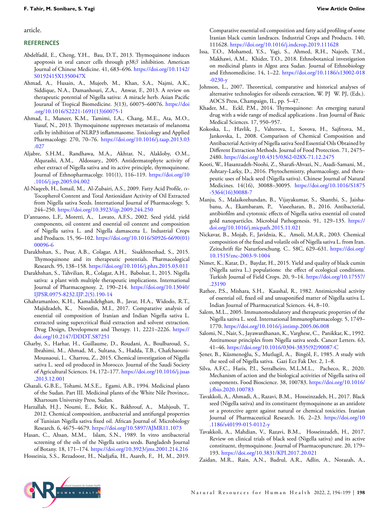article.

# **REFERENCES**

- <span id="page-4-3"></span>Abdelfadil, E., Cheng, Y.H., Bau, D.T., 2013. Thymoquinone induces apoptosis in oral cancer cells through p38*β* inhibition. American Journal of Chinese Medicine. 41, 683–696. [https://doi.org/10.1142/](https://doi.org/10.1142/S0192415X1350047X) [S0192415X1350047X](https://doi.org/10.1142/S0192415X1350047X)
- <span id="page-4-8"></span>Ahmad, A., Husain, A., Mujeeb, M., Khan, S.A., Najmi, A.K., Siddique, N.A., Damanhouri, Z.A., Anwar, F., 2013. A review on therapeutic potential of Nigella sativa: A miracle herb. Asian Pacific Jouranal of Tropical Biomedicine. 3(13), 60075–60076. [https://doi](https://doi.org/10.1016/S2221-1691(13)60075-1) [.org/10.1016/S2221-1691\(13\)60075-1](https://doi.org/10.1016/S2221-1691(13)60075-1)
- <span id="page-4-9"></span>Ahmad, I., Muneer, K.M., Tamimi, I.A., Chang, M.E., Ata, M.O., Yusuf, N., 2013. Thymoquinone suppresses metastasis of melanoma cells by inhibition of NLRP3 inflammasome. Toxicology and Applied Pharmacology. 270, 70–76. [https://doi.org/10.1016/j.taap.2013.03](https://doi.org/10.1016/j.taap.2013.03.027) [.027](https://doi.org/10.1016/j.taap.2013.03.027)
- <span id="page-4-29"></span>Aljabre, S.H.M., Randhawa, M.A., Akhtar, N., Alakloby, O.M., Alqurashi, A.M., Aldossary., 2005. Antidermatophyte activity of ether extract of Nigella sativa and its active principle, thymoquinone. Journal of Ethnopharmacolgy. 101(1), 116–119. [https://doi.org/10](https://doi.org/10.1016/j.jep.2005.04.002) [.1016/j.jep.2005.04.002](https://doi.org/10.1016/j.jep.2005.04.002)
- <span id="page-4-19"></span>Al-Naqeeb, H., Ismail, M., Al-Zubairi, A.S., 2009. Fatty Acid Profile, *α*-Tocopherol Content and Total Antioxidant Activity of Oil Extracted from Nigella sativa Seeds. International Journal of Pharmacology. 5, 244–250. <https://doi.org/10.3923/ijp.2009.244.250>
- <span id="page-4-21"></span>D'antuono, L.F., Moretti, A., Lovato, A.F.S., 2002. Seed yield, yield components, oil content and essential oil content and composition of Nigella sativa L. and Nigella damascena L. Industrial Crops and Products. 15, 96–102. [https://doi.org/10.1016/S0926-6690\(01\)](https://doi.org/10.1016/S0926-6690(01)00096-6) [00096-6](https://doi.org/10.1016/S0926-6690(01)00096-6)
- <span id="page-4-4"></span>Darakhshan, S., Pour, A.B., Colagar, A.H., Sisakhtnezhad, S., 2015. Thymoquinone and its therapeutic potentials. Pharmacological Research. 95, 138–158. <https://doi.org/10.1016/j.phrs.2015.03.011>
- <span id="page-4-5"></span>Darakhshan, S., Tahvilian, R., Colagar, A.H., Babolsar, I., 2015. Nigella sativa: a plant with multiple therapeutic implications. International Journal of Pharmacognosy. 2, 190–214. [https://doi.org/10.13040/](https://doi.org/10.13040/IJPSR.0975-8232.IJP.2(5).190-14) [IJPSR.0975-8232.IJP.2\(5\).190-14](https://doi.org/10.13040/IJPSR.0975-8232.IJP.2(5).190-14)
- <span id="page-4-22"></span>Ghahramanloo, K.H., Kamalidehghan, B., Javar, H.A., Widodo, R.T., Majidzadeh, K., Noordin, M.I., 2017. Comparative analysis of essential oil composition of Iranian and Indian Nigella sativa L. extracted using supercritical fluid extraction and solvent extraction. Drug Design, Development and Therapy. 11, 2221–2226. [https://](https://doi.org/10.2147/DDDT.S87251) [doi.org/10.2147/DDDT.S87251](https://doi.org/10.2147/DDDT.S87251)
- <span id="page-4-20"></span>Gharby, S., Harhar, H., Guillaume, D., Roudani, A., Boulbaroud, S., Ibrahimi, M., Ahmad, M., Sultana, S., Hadda, T.B., Chafchaouni-Moussaoui, I., Charrou, Z., 2015. Chemical investigation of Nigella sativa L. seed oil produced in Morocco. Journal of the Saudi Society of Agricultural Sciences. 14, 172–177. [https://doi.org/10.1016/j.jssas](https://doi.org/10.1016/j.jssas.2013.12.001) [.2013.12.001](https://doi.org/10.1016/j.jssas.2013.12.001)
- <span id="page-4-1"></span>Ghazali, G.B.E., Tohami, M.S.E., Egami, A.B., 1994. Medicinal plants of the Sudan. Part III. Medicinal plants of the White Nile Province,. Khartoum University Press, Sudan.
- <span id="page-4-18"></span>Harzallah, H.J., Noumi, E., Bekir, K., Bakhrouf, A., Mahjoub, T., 2012. Chemical composition, antibacterial and antifungal properties of Tunisian Nigella sativa fixed oil. African Journal of. Microbiology Research. 6, 4675–4679. <https://doi.org/10.5897/AJMR11.1073>
- <span id="page-4-27"></span>Hasan, C., Ahsan, M.M., Islam, S.N., 1989. In vitro antibacterial screening of the oils of the Nigella sativa seeds. Bangladesh Journal of Botany. 18, 171–174. <https://doi.org/10.3923/jms.2001.214.216>
- <span id="page-4-0"></span>Hosseinia, S.S., Rezadoost, H., Nadjafia, H., Asareh, F., H, M., 2019.

Comparative essential oil composition and fatty acid profiling of some Iranian black cumin landraces. Industrial Crops and Products. 140, 111628. <https://doi.org/10.1016/j.indcrop.2019.111628>

- <span id="page-4-2"></span>Issa, T.O., Mohamed, Y.S., Yagi, S., Ahmed, R.H., Najeeb, T.M., Makhawi, A.M., Khider, T.O., 2018. Ethnobotanical investigation on medicinal plants in Algoz area Sudan. Journal of Ethnobiology and Ethnomedicine. 14, 1–22. [https://doi.org/10.1186/s13002-018](https://doi.org/10.1186/s13002-018-0230-y) [-0230-y](https://doi.org/10.1186/s13002-018-0230-y)
- <span id="page-4-26"></span>Johnson, L., 2007. Theoretical, comparative and historical analyses of alternative technologies for oilseeds extraction, W. PJ W. PJ, (Eds.). AOCS Press, Champaign, IL, pp. 5–47.
- <span id="page-4-10"></span>Khader, M., Eckl, P.M., 2014. Thymoquinone: An emerging natural drug with a wide range of medical applications . Iran Journal of Basic Medical Sciences. 17, 950–957.
- <span id="page-4-24"></span>Kokoska, L., Havlik, J., Valterova, I., Sovova, H., Sajfrtova, M., Jankovska, I., 2008. Comparison of Chemical Composition and Antibacterial Activity of Nigella sativa Seed Essential Oils Obtained by Different Extraction Methods. Journal of Food Protection. 71, 2475– 2480. <https://doi.org/10.4315/0362-028X-71.12.2475>
- <span id="page-4-11"></span>Kooti, W., Hasanzadeh-Noohi, Z., Sharafi-Ahvazi, N., Asadi-Samani, M., Ashtary-Larky, D., 2016. Phytochemistry, pharmacology, and therapeutic uses of black seed (Nigella sativa). Chinese Journal of Natural Medicines. 14(16), 30088–30095. [https://doi.org/10.1016/S1875](https://doi.org/10.1016/S1875-5364(16)30088-7) [-5364\(16\)30088-7](https://doi.org/10.1016/S1875-5364(16)30088-7)
- <span id="page-4-12"></span>Manju, S., Malaikozhundan, B., Vijayakumar, S., Shanthi, S., Jaishabanu, A., Ekambaram, P., Vaseeharan, B., 2016. Antibacterial, antibiofilm and cytotoxic effects of Nigella sativa essential oil coated gold nanoparticles. Microbial Pathogenesis. 91, 129–135. [https://](https://doi.org/10.1016/j.micpath.2015.11.021) [doi.org/10.1016/j.micpath.2015.11.021](https://doi.org/10.1016/j.micpath.2015.11.021)
- <span id="page-4-25"></span>Nickavar, B., Mojab, F., Javidnia, K., Amoli, M.A.R., 2003. Chemical composition of the fixed and volatile oils of Nigella sativa L. from Iran. Zeitschrift für Naturforschung. C.. 58C, 629–631. [https://doi.org/](https://doi.org/10.1515/znc-2003-9-1004) [10.1515/znc-2003-9-1004](https://doi.org/10.1515/znc-2003-9-1004)
- <span id="page-4-17"></span>Nimet, K., Katar, D., Baydar, H., 2015. Yield and quality of black cumin (Nigella sativa L.) populations: the effect of ecological conditions. Turkish Journal of Field Crops. 20, 9–14. [https://doi.org/10.17557/](https://doi.org/10.17557/.23190) [.23190](https://doi.org/10.17557/.23190)
- <span id="page-4-28"></span>Rathee, P.S., Mishara, S.H., Kaushal, R., 1982. Antimicrobial activity of essential oil, fixed oil and unsaponified matter of Nigella sativa L. Indian Journal of Pharmaceutical Sciences. 44, 8–10.
- <span id="page-4-6"></span>Salem, M.L., 2005. Immunomodulatory and therapeutic properties of the Nigella sativa L. seed. International Immunopharmacology. 5, 1749– 1770. <https://doi.org/10.1016/j.intimp.2005.06.008>
- <span id="page-4-7"></span>Salomi, N., Nair, S., Jayawardhanan, K., Varghese, C., Panikkar, K., 1992. Antitumour principles from Nigella sativa seeds. Cancer Letters. 63, 41–46. [https://doi.org/10.1016/0304-3835\(92\)90087-C](https://doi.org/10.1016/0304-3835(92)90087-C)
- <span id="page-4-23"></span>Şener, B., Küsmenoğlu, S., Mutlugil, A., Bingöl, F., 1985. A study with the seed oil of Nigella sativa. Gazi Ecz Fak Der. 2, 1–8.
- <span id="page-4-15"></span>Silva, A.F.C., Haris, P.I., Serralheiro, M.L.M.L., Pacheco, R., 2020. Mechanism of action and the biological activities of Nigella sativa oil components. Food Bioscience. 38, 100783. [https://doi.org/10.1016/](https://doi.org/10.1016/j.fbio.2020.100783) [j.fbio.2020.100783](https://doi.org/10.1016/j.fbio.2020.100783)
- <span id="page-4-13"></span>Tavakkoli, A., Ahmadi, A., Razavi, B.M., Hosseinzadeh, H., 2017. Black seed (Nigella sativa) and its constituent thymoquinone as an antidote or a protective agent against natural or chemical toxicities. Iranian Journal of Pharmaceutical Research. 16, 2–23. [https://doi.org/10](https://doi.org/10.1186/s40199-015-0112-y) [.1186/s40199-015-0112-y](https://doi.org/10.1186/s40199-015-0112-y)
- <span id="page-4-14"></span>Tavakkoli, A., Mahdian, V., Razavi, B.M., Hosseinzadeh, H., 2017. Review on clinical trials of black seed (Nigella sativa) and its active constituent, thymoquinone. Journal of Pharmacopuncture. 20, 179– 193. <https://doi.org/10.3831/KPI.2017.20.021>
- <span id="page-4-16"></span>Zaidan, M.R., Rain, A.N., Badrul, A.R., Adlin, A., Norazah, A.,